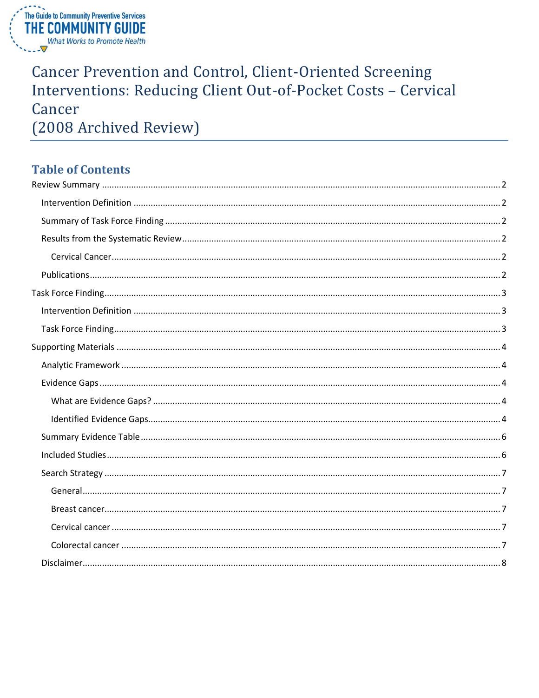

# **Cancer Prevention and Control, Client-Oriented Screening** Interventions: Reducing Client Out-of-Pocket Costs - Cervical Cancer (2008 Archived Review)

## **Table of Contents**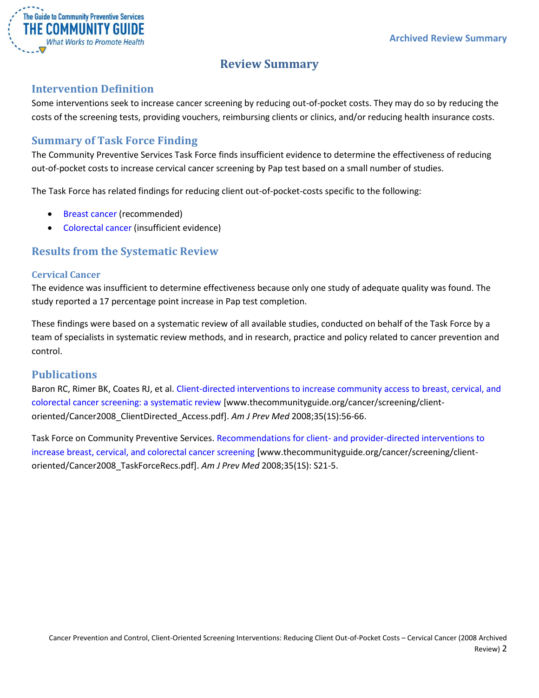

## **Review Summary**

### <span id="page-1-1"></span><span id="page-1-0"></span>**Intervention Definition**

Some interventions seek to increase cancer screening by reducing out-of-pocket costs. They may do so by reducing the costs of the screening tests, providing vouchers, reimbursing clients or clinics, and/or reducing health insurance costs.

### <span id="page-1-2"></span>**Summary of Task Force Finding**

The Community Preventive Services Task Force finds insufficient evidence to determine the effectiveness of reducing out-of-pocket costs to increase cervical cancer screening by Pap test based on a small number of studies.

The Task Force has related findings for reducing client out-of-pocket-costs specific to the following:

- [Breast cancer](/sites/default/files/Cancer-Screening-Client-Reducing-Out-of-Pocket-Costs-Archive-Breast.pdf) (recommended)
- [Colorectal cancer](/sites/default/files/Cancer-Screening-Client-Reducing-Out-of-Pocket-Costs-Archive-Colorectal.pdf) (insufficient evidence)

### <span id="page-1-3"></span>**Results from the Systematic Review**

#### <span id="page-1-4"></span>**Cervical Cancer**

The evidence was insufficient to determine effectiveness because only one study of adequate quality was found. The study reported a 17 percentage point increase in Pap test completion.

These findings were based on a systematic review of all available studies, conducted on behalf of the Task Force by a team of specialists in systematic review methods, and in research, practice and policy related to cancer prevention and control.

### <span id="page-1-5"></span>**Publications**

Baron RC, Rimer BK, Coates RJ, et al[. Client-directed interventions to increase community access to breast, cervical, and](http://www.thecommunityguide.org/cancer/screening/client-oriented/Cancer2008_ClientDirected_Access.pdf)  [colorectal cancer screening: a systematic review](http://www.thecommunityguide.org/cancer/screening/client-oriented/Cancer2008_ClientDirected_Access.pdf) [www.thecommunityguide.org/cancer/screening/clientoriented/Cancer2008\_ClientDirected\_Access.pdf]. *Am J Prev Med* 2008;35(1S):56-66.

Task Force on Community Preventive Services. Recommendations for client- [and provider-directed interventions to](http://www.thecommunityguide.org/cancer/screening/client-oriented/Cancer2008_TaskForceRecs.pdf)  [increase breast, cervical, and colorectal cancer screening](http://www.thecommunityguide.org/cancer/screening/client-oriented/Cancer2008_TaskForceRecs.pdf) [www.thecommunityguide.org/cancer/screening/clientoriented/Cancer2008\_TaskForceRecs.pdf]. *Am J Prev Med* 2008;35(1S): S21-5.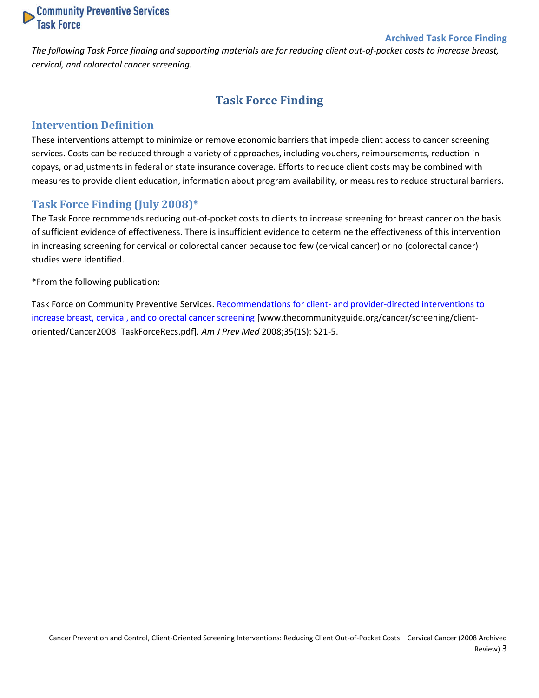

#### **Archived Task Force Finding**

<span id="page-2-0"></span>*The following Task Force finding and supporting materials are for reducing client out-of-pocket costs to increase breast, cervical, and colorectal cancer screening.*

## **Task Force Finding**

### <span id="page-2-1"></span>**Intervention Definition**

These interventions attempt to minimize or remove economic barriers that impede client access to cancer screening services. Costs can be reduced through a variety of approaches, including vouchers, reimbursements, reduction in copays, or adjustments in federal or state insurance coverage. Efforts to reduce client costs may be combined with measures to provide client education, information about program availability, or measures to reduce structural barriers.

### <span id="page-2-2"></span>**Task Force Finding (July 2008)\***

The Task Force recommends reducing out-of-pocket costs to clients to increase screening for breast cancer on the basis of sufficient evidence of effectiveness. There is insufficient evidence to determine the effectiveness of this intervention in increasing screening for cervical or colorectal cancer because too few (cervical cancer) or no (colorectal cancer) studies were identified.

\*From the following publication:

Task Force on Community Preventive Services. Recommendations for client- [and provider-directed interventions to](http://www.thecommunityguide.org/cancer/screening/client-oriented/Cancer2008_TaskForceRecs.pdf)  [increase breast, cervical, and colorectal cancer screening](http://www.thecommunityguide.org/cancer/screening/client-oriented/Cancer2008_TaskForceRecs.pdf) [www.thecommunityguide.org/cancer/screening/clientoriented/Cancer2008\_TaskForceRecs.pdf]. *Am J Prev Med* 2008;35(1S): S21-5.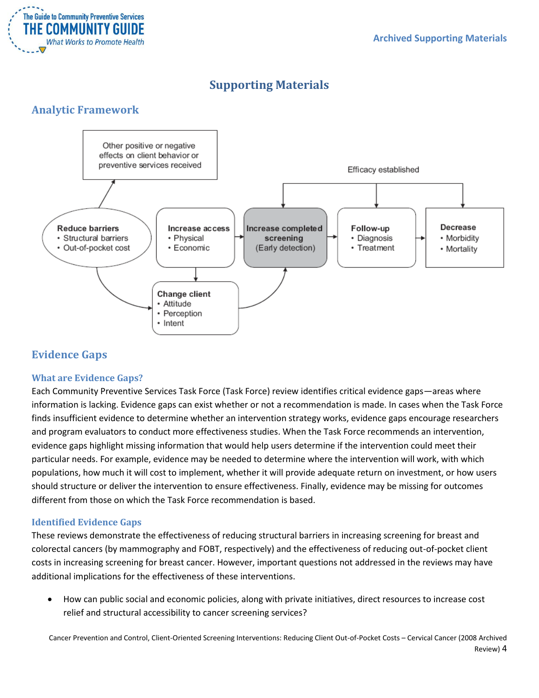

## **Supporting Materials**

## <span id="page-3-1"></span><span id="page-3-0"></span>**Analytic Framework**



## <span id="page-3-2"></span>**Evidence Gaps**

### <span id="page-3-3"></span>**What are Evidence Gaps?**

Each Community Preventive Services Task Force (Task Force) review identifies critical evidence gaps—areas where information is lacking. Evidence gaps can exist whether or not a recommendation is made. In cases when the Task Force finds insufficient evidence to determine whether an intervention strategy works, evidence gaps encourage researchers and program evaluators to conduct more effectiveness studies. When the Task Force recommends an intervention, evidence gaps highlight missing information that would help users determine if the intervention could meet their particular needs. For example, evidence may be needed to determine where the intervention will work, with which populations, how much it will cost to implement, whether it will provide adequate return on investment, or how users should structure or deliver the intervention to ensure effectiveness. Finally, evidence may be missing for outcomes different from those on which the Task Force recommendation is based.

### <span id="page-3-4"></span>**Identified Evidence Gaps**

These reviews demonstrate the effectiveness of reducing structural barriers in increasing screening for breast and colorectal cancers (by mammography and FOBT, respectively) and the effectiveness of reducing out-of-pocket client costs in increasing screening for breast cancer. However, important questions not addressed in the reviews may have additional implications for the effectiveness of these interventions.

 How can public social and economic policies, along with private initiatives, direct resources to increase cost relief and structural accessibility to cancer screening services?

Cancer Prevention and Control, Client-Oriented Screening Interventions: Reducing Client Out-of-Pocket Costs – Cervical Cancer (2008 Archived Review) 4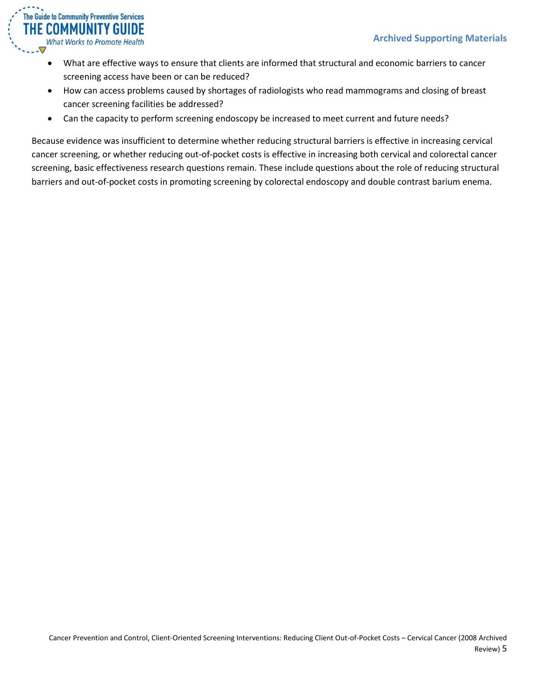

- What are effective ways to ensure that clients are informed that structural and economic barriers to cancer screening access have been or can be reduced?
- How can access problems caused by shortages of radiologists who read mammograms and closing of breast cancer screening facilities be addressed?
- Can the capacity to perform screening endoscopy be increased to meet current and future needs?

Because evidence was insufficient to determine whether reducing structural barriers is effective in increasing cervical cancer screening, or whether reducing out-of-pocket costs is effective in increasing both cervical and colorectal cancer screening, basic effectiveness research questions remain. These include questions about the role of reducing structural barriers and out-of-pocket costs in promoting screening by colorectal endoscopy and double contrast barium enema.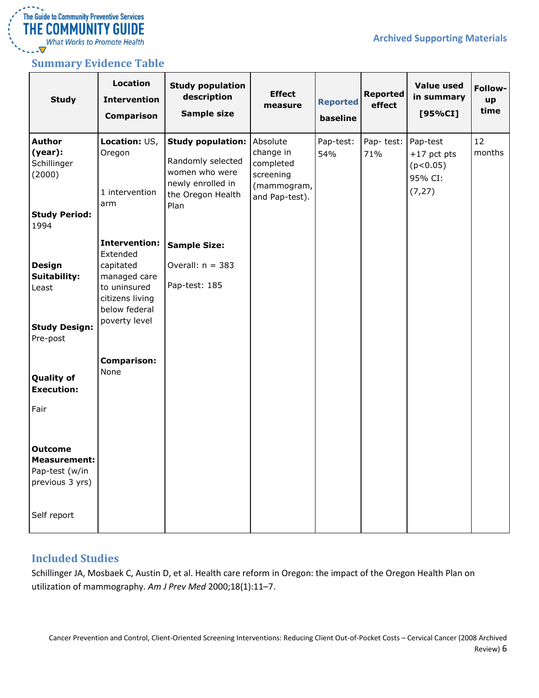

 $\overline{\nabla}$ 

### <span id="page-5-0"></span>**Summary Evidence Table**

| <b>Study</b>                                                                                                                 | Location<br><b>Intervention</b><br><b>Comparison</b>                                                                                                             | <b>Study population</b><br>description<br><b>Sample size</b>                                                      | <b>Effect</b><br>measure                                                         | <b>Reported</b><br>baseline | <b>Reported</b><br>effect | <b>Value used</b><br>in summary<br>[95%CI]                  | Follow-<br>up<br>time |
|------------------------------------------------------------------------------------------------------------------------------|------------------------------------------------------------------------------------------------------------------------------------------------------------------|-------------------------------------------------------------------------------------------------------------------|----------------------------------------------------------------------------------|-----------------------------|---------------------------|-------------------------------------------------------------|-----------------------|
| <b>Author</b><br>(year):<br>Schillinger<br>(2000)<br><b>Study Period:</b><br>1994                                            | Location: US,<br>Oregon<br>1 intervention<br>arm                                                                                                                 | <b>Study population:</b><br>Randomly selected<br>women who were<br>newly enrolled in<br>the Oregon Health<br>Plan | Absolute<br>change in<br>completed<br>screening<br>(mammogram,<br>and Pap-test). | Pap-test:<br>54%            | Pap-test:<br>71%          | Pap-test<br>$+17$ pct pts<br>(p<0.05)<br>95% CI:<br>(7, 27) | 12<br>months          |
| <b>Design</b><br>Suitability:<br>Least<br><b>Study Design:</b><br>Pre-post<br><b>Quality of</b><br><b>Execution:</b><br>Fair | <b>Intervention:</b><br>Extended<br>capitated<br>managed care<br>to uninsured<br>citizens living<br>below federal<br>poverty level<br><b>Comparison:</b><br>None | <b>Sample Size:</b><br>Overall: $n = 383$<br>Pap-test: 185                                                        |                                                                                  |                             |                           |                                                             |                       |
| <b>Outcome</b><br><b>Measurement:</b><br>Pap-test (w/in<br>previous 3 yrs)<br>Self report                                    |                                                                                                                                                                  |                                                                                                                   |                                                                                  |                             |                           |                                                             |                       |

### <span id="page-5-1"></span>**Included Studies**

Schillinger JA, Mosbaek C, Austin D, et al. Health care reform in Oregon: the impact of the Oregon Health Plan on utilization of mammography. *Am J Prev Med* 2000;18(1):11–7.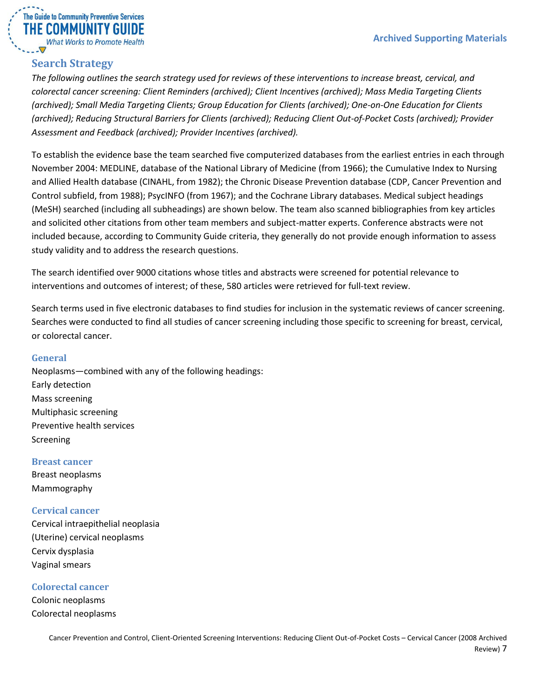

## <span id="page-6-0"></span>**Search Strategy**

*The following outlines the search strategy used for reviews of these interventions to increase breast, cervical, and colorectal cancer screening: Client Reminders (archived); Client Incentives (archived); Mass Media Targeting Clients (archived); Small Media Targeting Clients; Group Education for Clients (archived); One-on-One Education for Clients (archived); Reducing Structural Barriers for Clients (archived); Reducing Client Out-of-Pocket Costs (archived); Provider Assessment and Feedback (archived); Provider Incentives (archived).*

To establish the evidence base the team searched five computerized databases from the earliest entries in each through November 2004: MEDLINE, database of the National Library of Medicine (from 1966); the Cumulative Index to Nursing and Allied Health database (CINAHL, from 1982); the Chronic Disease Prevention database (CDP, Cancer Prevention and Control subfield, from 1988); PsycINFO (from 1967); and the Cochrane Library databases. Medical subject headings (MeSH) searched (including all subheadings) are shown below. The team also scanned bibliographies from key articles and solicited other citations from other team members and subject-matter experts. Conference abstracts were not included because, according to Community Guide criteria, they generally do not provide enough information to assess study validity and to address the research questions.

The search identified over 9000 citations whose titles and abstracts were screened for potential relevance to interventions and outcomes of interest; of these, 580 articles were retrieved for full-text review.

Search terms used in five electronic databases to find studies for inclusion in the systematic reviews of cancer screening. Searches were conducted to find all studies of cancer screening including those specific to screening for breast, cervical, or colorectal cancer.

### <span id="page-6-1"></span>**General**

Neoplasms—combined with any of the following headings: Early detection Mass screening Multiphasic screening Preventive health services Screening

<span id="page-6-2"></span>**Breast cancer** Breast neoplasms Mammography

<span id="page-6-3"></span>**Cervical cancer** Cervical intraepithelial neoplasia (Uterine) cervical neoplasms Cervix dysplasia Vaginal smears

<span id="page-6-4"></span>**Colorectal cancer**

Colonic neoplasms Colorectal neoplasms